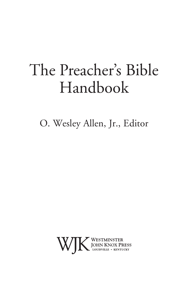# The Preacher's Bible Handbook

O. Wesley Allen, Jr., Editor

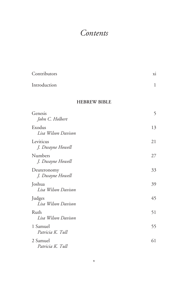# *Contents*

| Contributors                    | X1 |
|---------------------------------|----|
| Introduction                    | 1  |
| <b>HEBREW BIBLE</b>             |    |
| Genesis<br>John C. Holbert      | 5  |
| Exodus<br>Lisa Wilson Davison   | 13 |
| Leviticus<br>J. Dwayne Howell   | 21 |
| Numbers<br>J. Dwayne Howell     | 27 |
| Deuteronomy<br>J. Dwayne Howell | 33 |
| Joshua<br>Lisa Wilson Davison   | 39 |
| Judges<br>Lisa Wilson Davison   | 45 |
| Ruth<br>Lisa Wilson Davison     | 51 |
| 1 Samuel<br>Patricia K. Tull    | 55 |
| 2 Samuel<br>Patricia K. Tull    | 61 |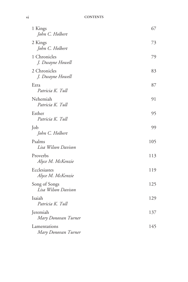| 1 Kings<br>John C. Holbert           | 67  |
|--------------------------------------|-----|
| 2 Kings<br>John C. Holbert           | 73  |
| 1 Chronicles<br>J. Dwayne Howell     | 79  |
| 2 Chronicles<br>J. Dwayne Howell     | 83  |
| Ezra<br>Patricia K. Tull             | 87  |
| Nehemiah<br>Patricia K. Tull         | 91  |
| Esther<br>Patricia K. Tull           | 95  |
| Job<br>John C. Holbert               | 99  |
| Psalms<br>Lisa Wilson Davison        | 105 |
| Proverbs<br>Alyce M. McKenzie        | 113 |
| Ecclesiastes<br>Alyce M. McKenzie    | 119 |
| Song of Songs<br>Lisa Wilson Davison | 125 |
| Isaiah<br>Patricia K. Tull           | 129 |
| Jeremiah<br>Mary Donovan Turner      | 137 |
| Lamentations<br>Mary Donovan Turner  | 145 |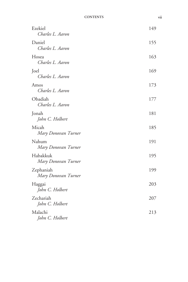| Ezekiel<br>Charles L. Aaron      | 149 |
|----------------------------------|-----|
| Daniel<br>Charles L. Aaron       | 155 |
| Hosea<br>Charles L. Aaron        | 163 |
| Joel<br>Charles L. Aaron         | 169 |
| Amos<br>Charles L. Aaron         | 173 |
| Obadiah<br>Charles L. Aaron      | 177 |
| Jonah<br>John C. Holbert         | 181 |
| Micah<br>Mary Donovan Turner     | 185 |
| Nahum<br>Mary Donovan Turner     | 191 |
| Habakkuk<br>Mary Donovan Turner  | 195 |
| Zephaniah<br>Mary Donovan Turner | 199 |
| Haggai<br>John C. Holbert        | 203 |
| Zechariah<br>John C. Holbert     | 207 |
| Malachi<br>John C. Holbert       | 213 |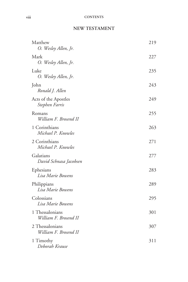| <b>NEW TESTAMENT</b> |  |
|----------------------|--|
|----------------------|--|

| Matthew<br>O. Wesley Allen, Jr.          | 219 |
|------------------------------------------|-----|
| Mark<br>O. Wesley Allen, Jr.             | 227 |
| Luke<br>O. Wesley Allen, Jr.             | 235 |
| John<br>Ronald J. Allen                  | 243 |
| Acts of the Apostles<br>Stephen Farris   | 249 |
| Romans<br>William F. Brosend II          | 255 |
| 1 Corinthians<br>Michael P. Knowles      | 263 |
| 2 Corinthians<br>Michael P. Knowles      | 271 |
| Galatians<br>David Schnasa Jacobsen      | 277 |
| Ephesians<br>Lisa Marie Bowens           | 283 |
| Philippians<br>Lisa Marie Bowens         | 289 |
| Colossians<br>Lisa Marie Bowens          | 295 |
| 1 Thessalonians<br>William F. Brosend II | 301 |
| 2 Thessalonians<br>William F. Brosend II | 307 |
| 1 Timothy<br>Deborah Krause              | 311 |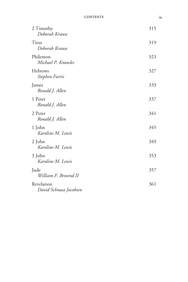| 2 Timothy<br>Deborah Krause          | 315 |
|--------------------------------------|-----|
| Titus<br>Deborah Krause              | 319 |
| Philemon<br>Michael P. Knowles       | 323 |
| Hebrews<br>Stephen Farris            | 327 |
| James<br>Ronald J. Allen             | 333 |
| 1 Peter<br>Ronald J. Allen           | 337 |
| 2 Peter<br>Ronald J. Allen           | 341 |
| 1 John<br>Karoline M. Lewis          | 345 |
| 2 John<br>Karoline M. Lewis          | 349 |
| 3 John<br>Karoline M. Lewis          | 353 |
| Jude<br>William F. Brosend II        | 357 |
| Revelation<br>David Schnasa Jacobsen | 361 |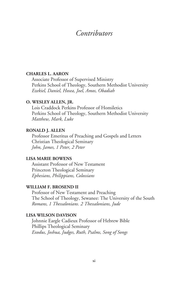# *Contributors*

#### **CHARLES L. AARON**

Associate Professor of Supervised Ministry Perkins School of Theology, Southern Methodist University *Ezekiel, Daniel, Hosea, Joel, Amos, Obadiah*

#### **O. WESLEY ALLEN, JR.**

Lois Craddock Perkins Professor of Homiletics Perkins School of Theology, Southern Methodist University *Matthew, Mark, Luke*

#### **RONALD J. ALLEN**

Professor Emeritus of Preaching and Gospels and Letters Christian Theological Seminary *John, James, 1 Peter, 2 Peter*

# **LISA MARIE BOWENS**

Assistant Professor of New Testament Princeton Theological Seminary *Ephesians, Philippians, Colossians*

# **WILLIAM F. BROSEND II**

Professor of New Testament and Preaching The School of Theology, Sewanee: The University of the South *Romans, 1 Thessalonians. 2 Thessalonians, Jude*

# **LISA WILSON DAVISON**

Johnnie Eargle Cadieux Professor of Hebrew Bible Phillips Theological Seminary *Exodus, Joshua, Judges, Ruth, Psalms, Song of Songs*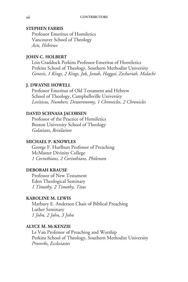#### **STEPHEN FARRIS**

Professor Emeritus of Homiletics Vancouver School of Theology *Acts, Hebrews*

# **JOHN C. HOLBERT**

Lois Craddock Perkins Professor Emeritus of Homiletics Perkins School of Theology, Southern Methodist University *Genesis, 1 Kings, 2 Kings, Job, Jonah, Haggai, Zechariah, Malachi*

# **J. DWAYNE HOWELL**

Professor Emeritus of Old Testament and Hebrew School of Theology, Campbellsville University *Leviticus, Numbers, Deuteronomy, 1 Chronicles, 2 Chronicles*

#### **DAVID SCHNASA JACOBSEN**

Professor of the Practice of Homiletics Boston University School of Theology *Galatians, Revelation*

# **MICHAEL P. KNOWLES**

George F. Hurlburt Professor of Preaching McMaster Divinity College *1 Corinthians, 2 Corinthians, Philemon*

# **DEBORAH KRAUSE**

Professor of New Testament Eden Theological Seminary *1 Timothy, 2 Timothy, Titus*

## **KAROLINE M. LEWIS**

Marbury E. Anderson Chair of Biblical Preaching Luther Seminary *1 John, 2 John, 3 John*

#### **ALYCE M. McKENZIE**

Le Van Professor of Preaching and Worship Perkins School of Theology, Southern Methodist University *Proverbs, Ecclesiastes*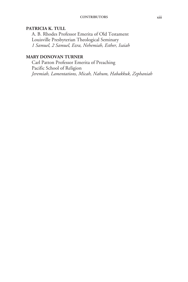# **PATRICIA K. TULL**

A. B. Rhodes Professor Emerita of Old Testament Louisville Presbyterian Theological Seminary *1 Samuel, 2 Samuel, Ezra, Nehemiah, Esther, Isaiah*

# **MARY DONOVAN TURNER**

Carl Patton Professor Emerita of Preaching Pacific School of Religion *Jeremiah, Lamentations, Micah, Nahum, Habakkuk, Zephaniah*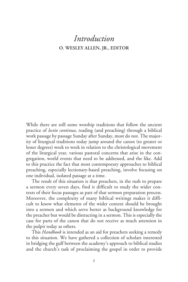# *Introduction* **O. WESLEY ALLEN, JR., EDITOR**

While there are still some worship traditions that follow the ancient practice of *lectio continua*, reading (and preaching) through a biblical work passage by passage Sunday after Sunday, most do not. The majority of liturgical traditions today jump around the canon (to greater or lesser degrees) week to week in relation to the christological movement of the liturgical year, various pastoral concerns that arise in the congregation, world events that need to be addressed, and the like. Add to this practice the fact that most contemporary approaches to biblical preaching, especially lectionary-based preaching, involve focusing on one individual, isolated passage at a time.

The result of this situation is that preachers, in the rush to prepare a sermon every seven days, find it difficult to study the wider contexts of their focus passages as part of that sermon preparation process. Moreover, the complexity of many biblical writings makes it difficult to know what elements of the wider context should be brought into a sermon and which serve better as background knowledge for the preacher but would be distracting in a sermon. This is especially the case for parts of the canon that do not receive as much attention in the pulpit today as others.

This *Handbook* is intended as an aid for preachers seeking a remedy to this situation. We have gathered a collection of scholars interested in bridging the gulf between the academy's approach to biblical studies and the church's task of proclaiming the gospel in order to provide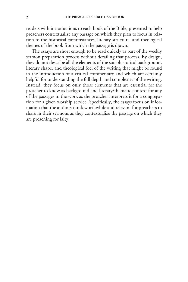readers with introductions to each book of the Bible, presented to help preachers contextualize any passage on which they plan to focus in relation to the historical circumstances, literary structure, and theological themes of the book from which the passage is drawn.

The essays are short enough to be read quickly as part of the weekly sermon preparation process without derailing that process. By design, they do not describe all the elements of the sociohistorical background, literary shape, and theological foci of the writing that might be found in the introduction of a critical commentary and which are certainly helpful for understanding the full depth and complexity of the writing. Instead, they focus on only those elements that are essential for the preacher to know as background and literary/thematic context for any of the passages in the work as the preacher interprets it for a congregation for a given worship service. Specifically, the essays focus on information that the authors think worthwhile and relevant for preachers to share in their sermons as they contextualize the passage on which they are preaching for laity.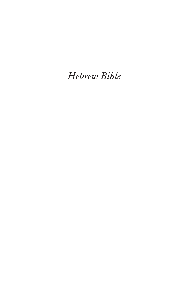*Hebrew Bible*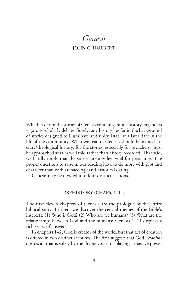# *Genesis* **JOHN C. HOLBERT**

Whether or not the stories of Genesis contain genuine history engenders vigorous scholarly debate. Surely, any history lies far in the background of stories designed to illuminate and unify Israel at a later date in the life of the community. What we read in Genesis should be named literary/theological history, for the stories, especially for preachers, must be approached as tales well told rather than history recorded. That said, we hardly imply that the stories are any less vital for preaching. The proper questions to raise in our reading have to do more with plot and character than with archaeology and historical dating.

Genesis may be divided into four distinct sections.

## **PREHISTORY (CHAPS. 1–11)**

The first eleven chapters of Genesis are the prologue of the entire biblical story. In them we discover the central themes of the Bible's interests: (1) Who is God? (2) Who are we humans? (3) What are the relationships between God and the humans? Genesis 1–11 displays a rich series of answers.

In chapters 1–2, God is creator of the world, but that act of creation is offered in two distinct accounts. The first suggests that God (*'elohim*) creates all that is solely by the divine voice, displaying a massive power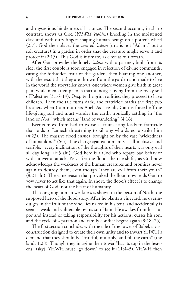and mysterious hiddenness all at once. The second account, in sharp contrast, shows us God (*YHWH 'elohim*) kneeling in the moistened clay, and with dirty fingers shaping human beings on a potter's wheel (2:7). God then places the created *'adam* (this is not "Adam," but a soil creature) in a garden in order that the creature might serve it and protect it (2:15). This God is intimate, as close as our breath.

After God provides the lonely *'adam* with a partner, built from its side, the first couple is soon engaged in rejection of divine commands, eating the forbidden fruit of the garden, then blaming one another, with the result that they are thrown from the garden and made to live in the world the storyteller knows, one where women give birth in great pain while men attempt to extract a meager living from the rocky soil of Palestine (3:16–19). Despite the grim realities, they proceed to have children. Then the tale turns dark, and fratricide marks the first two brothers when Cain murders Abel. As a result, Cain is forced off the life-giving soil and must wander the earth, ironically settling in "the land of *Nod*," which means "land of wandering" (4:16).

Events move from bad to worse as fruit eating leads to fratricide that leads to Lamech threatening to kill any who dares to strike him (4:23). The massive flood ensues, brought on by the vast "wickedness of humankind" (6:5). The charge against humanity is all-inclusive and terrible: "every inclination of the thoughts of their hearts was only evil all day long" (6:5 alt.). God here is a God who repays bad behavior with universal attack. Yet, after the flood, the tale shifts, as God now acknowledges the weakness of the human creatures and promises never again to destroy them, even though "they are evil from their youth" (8:21 alt.). The same reason that provoked the flood now leads God to vow never to act like that again. In short, the flood's effect is to change the heart of God, not the heart of humanity.

That ongoing human weakness is shown in the person of Noah, the supposed hero of the flood story. After he plants a vineyard, he overindulges in the fruit of the vine, lies naked in his tent, and accidentally is seen as weak and vulnerable by his son Ham. He awakes from his stupor and instead of taking responsibility for his actions, curses his son, and the cycle of separation and family conflict begins again (9:18–25).

The first section concludes with the tale of the tower of Babel, a vast construction designed to create their own unity and to thwart YHWH's demand that they should be "fruitful, multiply, and fill the earth" (the land, 1:28). Though they imagine their tower "has its top in the heavens" (sky), YHWH must "go down" to see it (11:4–5). YHWH then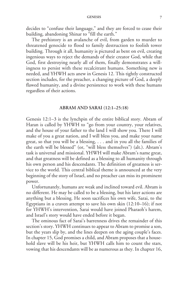decides to "confuse their language," and they are forced to cease their building, abandoning Shinar to "fill the earth."

The prehistory is an avalanche of evil, from garden to murder to threatened genocide to flood to family destruction to foolish tower building. Through it all, humanity is pictured as bent on evil, creating ingenious ways to reject the demands of their creator God, while that God, first destroying nearly all of them, finally demonstrates a willingness to persist with these recalcitrant humans. Something new is needed, and YHWH acts anew in Genesis 12. This tightly constructed section includes, for the preacher, a changing picture of God, a deeply flawed humanity, and a divine persistence to work with these humans regardless of their actions.

#### **ABRAM AND SARAI (12:1–25:18)**

Genesis 12:1–3 is the lynchpin of the entire biblical story. Abram of Haran is called by YHWH to "go from your country, your relatives, and the house of your father to the land I will show you. There I will make of you a great nation, and I will bless you, and make your name great, so that you will be a blessing, . . . and in you all the families of the earth will be blessed" (or, "will bless themselves") (alt.). Abram's task is universal and missional. YHWH will make Abram's name great, and that greatness will be defined as a blessing to all humanity through his own person and his descendants. The definition of greatness is service to the world. This central biblical theme is announced at the very beginning of the story of Israel, and no preacher can miss its prominent power.

Unfortunately, humans are weak and inclined toward evil. Abram is no different. He may be called to be a blessing, but his later actions are anything but a blessing. He soon sacrifices his own wife, Sarai, to the Egyptians in a craven attempt to save his own skin (12:10–16); if not for YHWH's intervention, Sarai would have joined Pharaoh's harem, and Israel's story would have ended before it began.

The ominous fact of Sarai's barrenness drives the remainder of this section's story. YHWH continues to appear to Abram to promise a son, but the years slip by, and the lines deepen on the aging couple's faces. In chapter 15, God promises a child, and Abram proposes that a household slave will be his heir, but YHWH calls him to count the stars, vowing that his descendants will be as numerous as they. In chapter 16,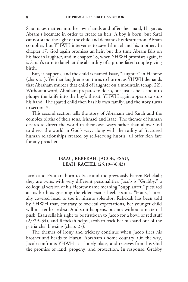Sarai takes matters into her own hands and offers her maid, Hagar, as Abram's bedmate in order to create an heir. A boy is born, but Sarai cannot stand the sight of the child and demands his destruction. Abram complies, but YHWH intervenes to save Ishmael and his mother. In chapter 17, God again promises an heir, but this time Abram falls on his face in laughter, and in chapter 18, when YHWH promises again, it is Sarah's turn to laugh at the absurdity of a prune-faced couple giving birth.

But, it happens, and the child is named Isaac, "laughter" in Hebrew (chap. 21). Yet that laughter soon turns to horror, as YHWH demands that Abraham murder that child of laughter on a mountain (chap. 22). Without a word, Abraham prepares to do so, but just as he is about to plunge the knife into the boy's throat, YHWH again appears to stop his hand. The spared child then has his own family, and the story turns to section 3.

This second section tells the story of Abraham and Sarah and the complex births of their sons, Ishmael and Isaac. The themes of human desires to direct the world in their own ways rather than allow God to direct the world in God's way, along with the reality of fractured human relationships created by self-serving hubris, all offer rich fare for any preacher.

## **ISAAC, REBEKAH, JACOB, ESAU, LEAH, RACHEL (25:19–36:43)**

Jacob and Esau are born to Isaac and the previously barren Rebekah; they are twins with very different personalities. Jacob is "Grabby," a colloquial version of his Hebrew name meaning "Supplanter," pictured at his birth as grasping the elder Esau's heel. Esau is "Hairy," literally covered head to toe in hirsute splendor. Rebekah has been told by YHWH that, contrary to societal expectations, her younger child will master her eldest. And so it happens, but not without a maternal push. Esau sells his right to be firstborn to Jacob for a bowl of red stuff (25:29–34), and Rebekah helps Jacob to trick her husband out of the patriarchal blessing (chap. 27).

The themes of irony and trickery continue when Jacob flees his brother and heads to Haran, Abraham's home country. On the way, Jacob confronts YHWH at a lonely place, and receives from his God the promise of land, progeny, and protection. In response, Grabby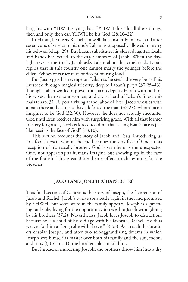#### **Genesis 9**

bargains with YHWH, saying that if YHWH does do all these things, then and only then can YHWH be his God (28:20–22)!

In Haran, he meets Rachel at a well, falls instantly in love, and after seven years of service to his uncle Laban, is supposedly allowed to marry his beloved (chap. 29). But Laban substitutes his eldest daughter, Leah, and hands her, veiled, to the eager embrace of Jacob. When the daylight reveals the truth, Jacob asks Laban about his cruel trick. Laban replies that in this country one cannot marry the younger before the elder. Echoes of earlier tales of deception ring loud.

But Jacob gets his revenge on Laban as he steals the very best of his livestock through magical trickery, despite Laban's ploys (30:25–43). Though Laban works to prevent it, Jacob departs Haran with both of his wives, their servant women, and a vast herd of Laban's finest animals (chap. 31). Upon arriving at the Jabbok River, Jacob wrestles with a man there and claims to have defeated the man (32:28), whom Jacob imagines to be God (32:30). However, he does not actually encounter God until Esau receives him with surprising grace. With all that former trickery forgotten, Jacob is forced to admit that seeing Esau's face is just like "seeing the face of God" (33:10).

This section recounts the story of Jacob and Esau, introducing us to a foolish Esau, who in the end becomes the very face of God in his reception of his rascally brother. God is seen here as the unexpected One, not appearing as humans imagine but showing up in the face of the foolish. This great Bible theme offers a rich resource for the preacher.

#### **JACOB AND JOSEPH (CHAPS. 37–50)**

This final section of Genesis is the story of Joseph, the favored son of Jacob and Rachel. Jacob's twelve sons settle again in the land promised by YHWH, but soon strife in the family appears. Joseph is a preening tattletale, living for the opportunity to reveal to Jacob wrongdoing by his brothers (37:2). Nevertheless, Jacob loves Joseph to distraction, because he is a child of his old age with his favorite, Rachel. He thus weaves for him a "long robe with sleeves" (37:3). As a result, his brothers despise Joseph, and after two self-aggrandizing dreams in which Joseph sees himself as master over both his family and the sun, moon, and stars (!) (37:5–11), the brothers plot to kill him.

But instead of murdering Joseph, the brothers throw him into a dry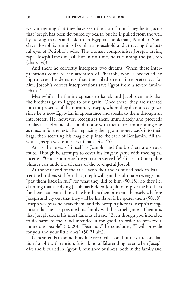well, imagining that they have seen the last of him. They lie to Jacob that Joseph has been devoured by beasts, but he is pulled from the well by passing traders and sold to an Egyptian nobleman, Potiphar. Soon clever Joseph is running Potiphar's household and attracting the lustful eyes of Potiphar's wife. The woman compromises Joseph, crying rape. Joseph lands in jail; but in no time, he is running the jail, too (chap. 39)!

And there he correctly interprets two dreams. When these interpretations come to the attention of Pharaoh, who is bedeviled by nightmares, he demands that the jailed dream interpreter act for him. Joseph's correct interpretations save Egypt from a severe famine (chap. 41).

Meanwhile, the famine spreads to Israel, and Jacob demands that the brothers go to Egypt to buy grain. Once there, they are ushered into the presence of their brother, Joseph, whom they do not recognize, since he is now Egyptian in appearance and speaks to them through an interpreter. He, however, recognizes them immediately and proceeds to play a cruel game of cat and mouse with them, first imprisoning one as ransom for the rest, after replacing their grain money back into their bags, then secreting his magic cup into the sack of Benjamin. All the while, Joseph weeps in secret (chaps. 42–45).

At last he reveals himself as Joseph, and the brothers are struck mute. Though he attempts to cover his lengthy game with theological niceties–"God sent me before you to preserve life" (45:7 alt.)–no polite phrases can undo the trickery of the revengeful Joseph.

At the very end of the tale, Jacob dies and is buried back in Israel. Yet the brothers still fear that Joseph will gain his ultimate revenge and "pay them back in full" for what they did to him (50:15). So they lie, claiming that the dying Jacob has bidden Joseph to forgive the brothers for their acts against him. The brothers then prostrate themselves before Joseph and cry out that they will be his slaves if he spares them (50:18). Joseph weeps as he hears them, and the weeping here is Joseph's recognition that he has poisoned his family with his cruel games. Then it is that Joseph utters his most famous phrase: "Even though you intended to do harm to me, God intended it for good, in order to preserve a numerous people" (50:20). "Fear not," he concludes, "I will provide for you and your little ones" (50:21 alt.).

Genesis ends in something like reconciliation, but it is a reconciliation fraught with tension. It is a kind of false ending, even when Joseph dies and is buried in Egypt. Unfinished business, both in the family and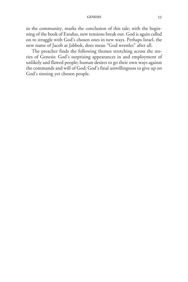#### **Genesis 11**

in the community, marks the conclusion of this tale; with the beginning of the book of Exodus, new tensions break out. God is again called on to struggle with God's chosen ones in new ways. Perhaps Israel, the new name of Jacob at Jabbok, does mean "God wrestles" after all.

The preacher finds the following themes stretching across the stories of Genesis: God's surprising appearances in and employment of unlikely and flawed people; human desires to go their own ways against the commands and will of God; God's final unwillingness to give up on God's sinning yet chosen people.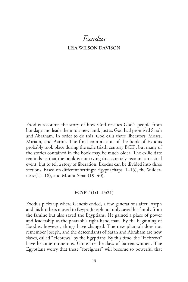# *Exodus* **LISA WILSON DAVISON**

Exodus recounts the story of how God rescues God's people from bondage and leads them to a new land, just as God had promised Sarah and Abraham. In order to do this, God calls three liberators: Moses, Miriam, and Aaron. The final compilation of the book of Exodus probably took place during the exile (sixth century BCE), but many of the stories contained in the book may be much older. The exilic date reminds us that the book is not trying to accurately recount an actual event, but to tell a story of liberation. Exodus can be divided into three sections, based on different settings: Egypt (chaps. 1–15), the Wilderness (15–18), and Mount Sinai (19–40).

## **EGYPT (1:1–15:21)**

Exodus picks up where Genesis ended, a few generations after Joseph and his brothers moved to Egypt. Joseph not only saved his family from the famine but also saved the Egyptians. He gained a place of power and leadership as the pharaoh's right-hand man. By the beginning of Exodus, however, things have changed. The new pharaoh does not remember Joseph, and the descendants of Sarah and Abraham are now slaves, called "Hebrews" by the Egyptians. By this time, the "Hebrews" have become numerous. Gone are the days of barren women. The Egyptians worry that these "foreigners" will become so powerful that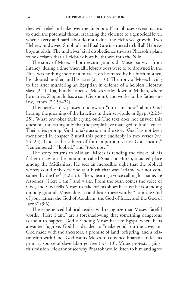they will rebel and take over the kingdom. Pharaoh uses several tactics to quell the potential threat, escalating the violence to a genocidal level, when slavery and hard labor do not reduce the Hebrews' growth. Two Hebrew midwives (Shiphrah and Puah) are instructed to kill all Hebrew boys at birth. The midwives' civil disobedience thwarts Pharaoh's plan, so he declares that all Hebrew boys be thrown into the Nile.

The story of Moses is both exciting and sad. Moses' survival from infancy, during a time when all Hebrew boys were to be drowned in the Nile, was nothing short of a miracle, orchestrated by his birth mother, his adopted mother, and his sister (2:1–10). The irony of Moses having to flee after murdering an Egyptian in defense of a helpless Hebrew slave (2:11–15a) builds suspense. Moses settles down in Midian, where he marries Zipporah, has a son (Gershom), and works for his father-inlaw, Jethro (2:15b–22).

This hero's story pauses to allow an "intrusion note" about God hearing the groaning of the Israelites in their servitude in Egypt (2:23– 25). What provokes their crying out? The text does not answer this question, indicating only that the people have managed to find a voice. Their cries prompt God to take action in the story. God has not been mentioned in chapter 2 until this point; suddenly in two verses (vv. 24–25), God is the subject of four important verbs; God "heard," "remembered," "looked," and "took note."

The story returns to Midian. Moses is tending the flocks of his father-in-law on the mountain called Sinai, or Horeb, a sacred place among the Midianites. He sees an incredible sight that the biblical writers could only describe as a bush that was "aflame yet not consumed by the fire" (3:2 alt.). Then, hearing a voice calling his name, he responds, "Here I am," and waits. From the bush comes the voice of God, and God tells Moses to take off his shoes because he is standing on holy ground. Moses does so and hears these words: "I am the God of your father, the God of Abraham, the God of Isaac, and the God of Jacob" (3:6).

The experienced biblical reader will recognize that Moses' fateful words, "Here I am," are a foreshadowing that something dangerous is about to happen. God is sending Moses back to Egypt, where he is a wanted fugitive. God has decided to "make good" on the covenant God made with the ancestors, a promise of land, offspring, and a relationship with God. God wants Moses to convince Pharaoh to let his primary source of slave labor go free (3:7–10). Moses protests against this mission. He cannot see why Pharaoh would listen to him and agree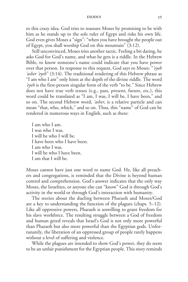#### **Exodus 15**

to this crazy idea. God tries to reassure Moses by promising to be with him as he stands up to the sole ruler of Egypt and risks his own life. God even gives Moses a "sign": "when you have brought the people out of Egypt, you shall worship God on this mountain" (3:12).

Still unconvinced, Moses tries another tactic. Feeling a bit daring, he asks God for God's name, and what he gets is a riddle. In the Hebrew Bible, to know someone's name could indicate that you have power over that person. In response to this request, God says to Moses: "*'eyeh 'asher 'eyeh*" (3:14). The traditional rendering of this Hebrew phrase as "I am who I am" only hints at the depth of the divine riddle. The word *'eyeh* is the first-person singular form of the verb "to be." Since Hebrew does not have true verb tenses (e.g., past, present, future, etc.), this word could be translated as "I am, I was, I will be, I have been," and so on. The second Hebrew word, *'asher*, is a relative particle and can mean "that, who, which," and so on. Thus, this "name" of God can be rendered in numerous ways in English, such as these:

I am who I am. I was who I was. I will be who I will be. I have been who I have been. I am who I was. I will be who I have been. I am that I will be.

Moses cannot have just one word to name God. He, like all preachers and congregations, is reminded that the Divine is beyond human control and comprehension. God's answer indicates that the only way Moses, the Israelites, or anyone else can "know" God is through God's activity in the world or through God's interaction with humanity.

The stories about the dueling between Pharaoh and Moses/God are a key to understanding the function of the plagues (chaps. 5–12). Like all oppressive powers, Pharaoh is unwilling to grant freedom for his slave workforce. The resulting struggle between a God of freedom and human greed reveals that Israel's God is not only more powerful than Pharaoh but also more powerful than the Egyptian gods. Unfortunately, the liberation of an oppressed group of people rarely happens without a level of suffering and violence.

While the plagues are intended to show God's power, they do seem to be an unfair punishment for the Egyptian people. This story reminds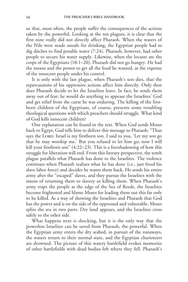us that, most often, the people suffer the consequences of the actions taken by the powerful. Looking at the ten plagues, it is clear that the first nine really did not directly affect Pharaoh. When the waters of the Nile were made unsafe for drinking, the Egyptian people had to dig ditches to find potable water (7:24). Pharaoh, however, had other people to secure his water supply. Likewise, when the locusts ate the crops of the Egyptians (10:1–20), Pharaoh did not go hungry. He had the means and the power to get all the food he wanted, at the expense of the innocent people under his control.

It is only with the last plague, when Pharaoh's son dies, that the repercussions of his oppressive actions affect him directly. Only then does Pharaoh decide to let the Israelites leave. In fact, he sends them away out of fear; he would do anything to appease the Israelites' God and get relief from the curse he was enduring. The killing of the firstborn children of the Egyptians, of course, presents some troubling theological questions with which preachers should struggle. What kind of God kills innocent children?

One explanation can be found in the text. When God sends Moses back to Egypt, God tells him to deliver this message to Pharaoh: "Thus says the LORD: Israel is my firstborn son. I said to you, 'Let my son go that he may worship me.' But you refused to let him go; now I will kill your firstborn son" (4:22–23). This is a foreshadowing of how this struggle for liberation will end. From this literary perspective, the tenth plague parallels what Pharaoh has done to the Israelites. The violence continues when Pharaoh realizes what he has done (i.e., just freed his slave labor force) and decides he wants them back. He sends his entire army after the "escaped" slaves, and they pursue the Israelites with the intent of returning them to slavery or killing them. When Pharaoh's army traps the people at the edge of the Sea of Reeds, the Israelites become frightened and blame Moses for leading them out this far only to be killed. As a way of showing the Israelites and Pharaoh that God has the power and is on the side of the oppressed and vulnerable, Moses splits the sea in two parts. Dry land appears, and the Israelites cross safely to the other side.

What happens next is shocking, but it is the only way that the powerless Israelites can be saved from Pharaoh, the powerful. When the Egyptian army enters the dry seabed, in pursuit of the runaways, the waters return to their normal state, and the Egyptian charioteers are drowned. The picture of this watery battlefield evokes memories of other battlefields with dead bodies left where they fell. Pharaoh's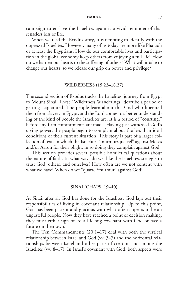campaign to enslave the Israelites again is a vivid reminder of that senseless loss of life.

When we read the Exodus story, it is tempting to identify with the oppressed Israelites. However, many of us today are more like Pharaoh or at least the Egyptians. How do our comfortable lives and participation in the global economy keep others from enjoying a full life? How do we harden our hearts to the suffering of others? What will it take to change our hearts, so we release our grip on power and privilege?

#### **WILDERNESS (15:22–18:27)**

The second section of Exodus tracks the Israelites' journey from Egypt to Mount Sinai. These "Wilderness Wanderings" describe a period of getting acquainted. The people learn about this God who liberated them from slavery in Egypt, and the Lord comes to a better understanding of the kind of people the Israelites are. It is a period of "courting," before any firm commitments are made. Having just witnessed God's saving power, the people begin to complain about the less than ideal conditions of their current situation. This story is part of a larger collection of texts in which the Israelites "murmur/quarrel" against Moses and/or Aaron for their plight; in so doing they complain against God.

This section provides several possible homiletical questions about the nature of faith. In what ways do we, like the Israelites, struggle to trust God, others, and ourselves? How often are we not content with what we have? When do we "quarrel/murmur" against God?

#### **SINAI (CHAPS. 19–40)**

At Sinai, after all God has done for the Israelites, God lays out their responsibilities of living in covenant relationship. Up to this point, God has been patient and gracious with what often appears to be an ungrateful people. Now they have reached a point of decision making; they must either sign on to a lifelong covenant with God or face a future on their own.

The Ten Commandments (20:1–17) deal with both the vertical relationship between Israel and God (vv. 3–7) and the horizontal relationships between Israel and other parts of creation and among the Israelites (vv. 8–17). In Israel's covenant with God, both aspects were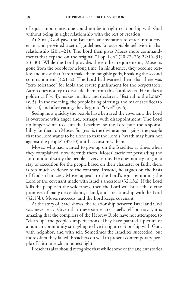of equal importance: one could not be in right relationship with God without being in right relationship with the rest of creation.

At Sinai, God gave the Israelites an invitation to enter into a covenant and provided a set of guidelines for acceptable behavior in that relationship (20:1–21). The Lord then gives Moses more commandments that expand on the original "Top Ten" (20:22–26; 22:16–31; 23–30). While the Lord provides these other requirements, Moses is gone from the people for a long time. In his absence, they become restless and insist that Aaron make them tangible gods, breaking the second commandment (32:1–2). The Lord had warned them that there was "zero tolerance" for idols and severe punishment for the perpetrators. Aaron does not try to dissuade them from this faithless act. He makes a golden calf  $(v, 4)$ , makes an altar, and declares a "festival to the LORD" (v. 5). In the morning, the people bring offerings and make sacrifices to the calf, and after eating, they begin to "revel" (v. 6).

Seeing how quickly the people have betrayed the covenant, the Lord is overcome with anger and, perhaps, with disappointment. The Lord no longer wants to claim the Israelites, so the Lord puts the responsibility for them on Moses. So great is the divine anger against the people that the Lord wants to be alone so that the Lord's "wrath may burn hot against the people" (32:10) until it consumes them.

Moses, who had wanted to give up on the Israelites at times when they complained, now defends them. Moses' tactic for persuading the Lord not to destroy the people is very astute. He does not try to gain a stay of execution for the people based on their character or faith; there is too much evidence to the contrary. Instead, he argues on the basis of God's character. Moses appeals to the Lord's ego, reminding the Lord of the covenant made with Israel's ancestors (32:13a). If the Lord kills the people in the wilderness, then the Lord will break the divine promises of many descendants, a land, and a relationship with the Lord (32:13b). Moses succeeds, and the Lord keeps covenant.

As the story of Israel shows, the relationship between Israel and God was never easy. Given that these stories are Israel's self-portrayal, it is amazing that the compilers of the Hebrew Bible have not attempted to "clean up" the people's imperfections. They have painted a picture of a human community struggling to live in right relationship with God, with neighbor, and with self. Sometimes the Israelites succeeded, but more often they failed. Preachers do well to present contemporary people of faith in such an honest light.

Preachers also should recognize that while some of the ancient stories